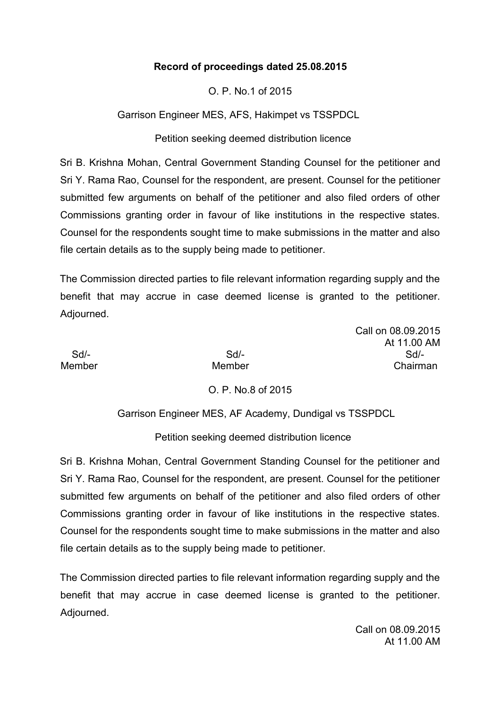### **Record of proceedings dated 25.08.2015**

O. P. No.1 of 2015

Garrison Engineer MES, AFS, Hakimpet vs TSSPDCL

Petition seeking deemed distribution licence

Sri B. Krishna Mohan, Central Government Standing Counsel for the petitioner and Sri Y. Rama Rao, Counsel for the respondent, are present. Counsel for the petitioner submitted few arguments on behalf of the petitioner and also filed orders of other Commissions granting order in favour of like institutions in the respective states. Counsel for the respondents sought time to make submissions in the matter and also file certain details as to the supply being made to petitioner.

The Commission directed parties to file relevant information regarding supply and the benefit that may accrue in case deemed license is granted to the petitioner. Adjourned.

Call on 08.09.2015 At 11.00 AM Sd/- Sd/- Sd/- Member Member **Member** Chairman

O. P. No.8 of 2015

Garrison Engineer MES, AF Academy, Dundigal vs TSSPDCL

Petition seeking deemed distribution licence

Sri B. Krishna Mohan, Central Government Standing Counsel for the petitioner and Sri Y. Rama Rao, Counsel for the respondent, are present. Counsel for the petitioner submitted few arguments on behalf of the petitioner and also filed orders of other Commissions granting order in favour of like institutions in the respective states. Counsel for the respondents sought time to make submissions in the matter and also file certain details as to the supply being made to petitioner.

The Commission directed parties to file relevant information regarding supply and the benefit that may accrue in case deemed license is granted to the petitioner. Adjourned.

> Call on 08.09.2015 At 11.00 AM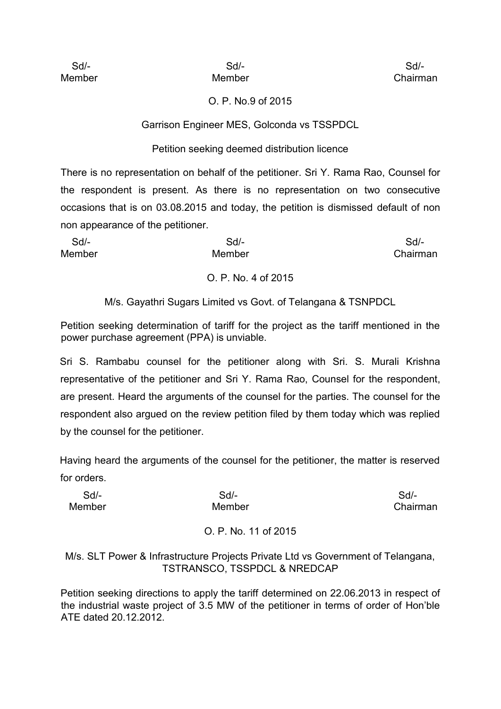### O. P. No.9 of 2015

Garrison Engineer MES, Golconda vs TSSPDCL

### Petition seeking deemed distribution licence

There is no representation on behalf of the petitioner. Sri Y. Rama Rao, Counsel for the respondent is present. As there is no representation on two consecutive occasions that is on 03.08.2015 and today, the petition is dismissed default of non non appearance of the petitioner.

| Sd/-          | Sd/-   | $Sd$ -   |
|---------------|--------|----------|
| <b>Member</b> | Member | Chairman |
|               |        |          |

#### O. P. No. 4 of 2015

M/s. Gayathri Sugars Limited vs Govt. of Telangana & TSNPDCL

Petition seeking determination of tariff for the project as the tariff mentioned in the power purchase agreement (PPA) is unviable.

Sri S. Rambabu counsel for the petitioner along with Sri. S. Murali Krishna representative of the petitioner and Sri Y. Rama Rao, Counsel for the respondent, are present. Heard the arguments of the counsel for the parties. The counsel for the respondent also argued on the review petition filed by them today which was replied by the counsel for the petitioner.

Having heard the arguments of the counsel for the petitioner, the matter is reserved for orders.

| Sd/-   | Sd/-   | Sd/-     |
|--------|--------|----------|
| Member | Member | Chairman |

# O. P. No. 11 of 2015

M/s. SLT Power & Infrastructure Projects Private Ltd vs Government of Telangana, TSTRANSCO, TSSPDCL & NREDCAP

Petition seeking directions to apply the tariff determined on 22.06.2013 in respect of the industrial waste project of 3.5 MW of the petitioner in terms of order of Hon'ble ATE dated 20.12.2012.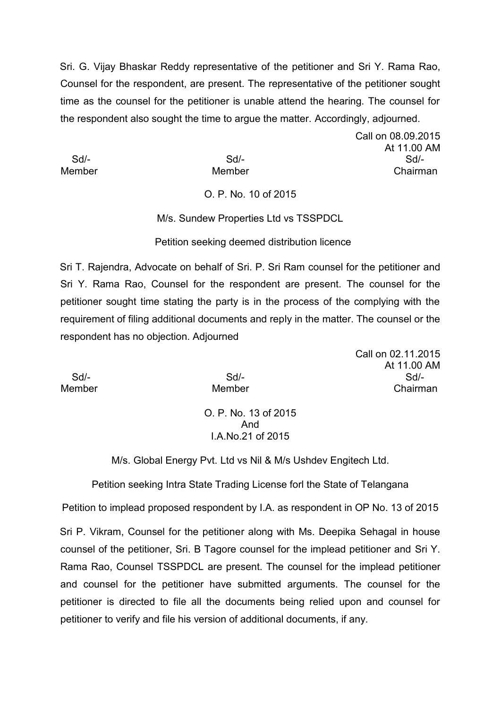Sri. G. Vijay Bhaskar Reddy representative of the petitioner and Sri Y. Rama Rao, Counsel for the respondent, are present. The representative of the petitioner sought time as the counsel for the petitioner is unable attend the hearing. The counsel for the respondent also sought the time to argue the matter. Accordingly, adjourned.

Call on 08.09.2015 At 11.00 AM Sd/- Sd/- Sd/- Member Member **Member** Chairman

O. P. No. 10 of 2015

M/s. Sundew Properties Ltd vs TSSPDCL

Petition seeking deemed distribution licence

Sri T. Rajendra, Advocate on behalf of Sri. P. Sri Ram counsel for the petitioner and Sri Y. Rama Rao, Counsel for the respondent are present. The counsel for the petitioner sought time stating the party is in the process of the complying with the requirement of filing additional documents and reply in the matter. The counsel or the respondent has no objection. Adjourned

Call on 02.11.2015 At 11.00 AM Sd/- Sd/- Sd/- Member Member **Member** Chairman

> O. P. No. 13 of 2015 And I.A.No.21 of 2015

M/s. Global Energy Pvt. Ltd vs Nil & M/s Ushdev Engitech Ltd.

Petition seeking Intra State Trading License forl the State of Telangana

Petition to implead proposed respondent by I.A. as respondent in OP No. 13 of 2015

Sri P. Vikram, Counsel for the petitioner along with Ms. Deepika Sehagal in house counsel of the petitioner, Sri. B Tagore counsel for the implead petitioner and Sri Y. Rama Rao, Counsel TSSPDCL are present. The counsel for the implead petitioner and counsel for the petitioner have submitted arguments. The counsel for the petitioner is directed to file all the documents being relied upon and counsel for petitioner to verify and file his version of additional documents, if any.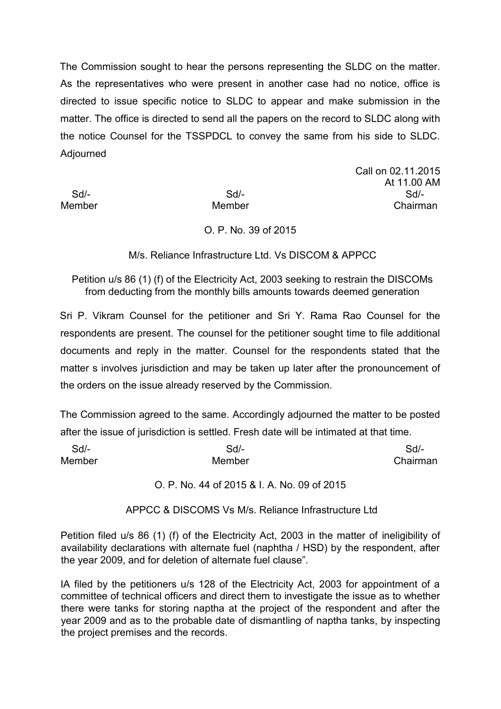The Commission sought to hear the persons representing the SLDC on the matter. As the representatives who were present in another case had no notice, office is directed to issue specific notice to SLDC to appear and make submission in the matter. The office is directed to send all the papers on the record to SLDC along with the notice Counsel for the TSSPDCL to convey the same from his side to SLDC. Adjourned

Call on 02.11.2015 At 11.00 AM Sd/- Sd/- Sd/- Member Member **Member** Chairman

#### O. P. No. 39 of 2015

M/s. Reliance Infrastructure Ltd. Vs DISCOM & APPCC

Petition u/s 86 (1) (f) of the Electricity Act, 2003 seeking to restrain the DISCOMs from deducting from the monthly bills amounts towards deemed generation

Sri P. Vikram Counsel for the petitioner and Sri Y. Rama Rao Counsel for the respondents are present. The counsel for the petitioner sought time to file additional documents and reply in the matter. Counsel for the respondents stated that the matter s involves jurisdiction and may be taken up later after the pronouncement of the orders on the issue already reserved by the Commission.

The Commission agreed to the same. Accordingly adjourned the matter to be posted after the issue of jurisdiction is settled. Fresh date will be intimated at that time.

| $Sd$ - | Sd/-   | $Sd$ -   |
|--------|--------|----------|
| Member | Member | Chairman |

O. P. No. 44 of 2015 & I. A. No. 09 of 2015

APPCC & DISCOMS Vs M/s. Reliance Infrastructure Ltd

Petition filed u/s 86 (1) (f) of the Electricity Act, 2003 in the matter of ineligibility of availability declarations with alternate fuel (naphtha / HSD) by the respondent, after the year 2009, and for deletion of alternate fuel clause".

IA filed by the petitioners u/s 128 of the Electricity Act, 2003 for appointment of a committee of technical officers and direct them to investigate the issue as to whether there were tanks for storing naptha at the project of the respondent and after the year 2009 and as to the probable date of dismantling of naptha tanks, by inspecting the project premises and the records.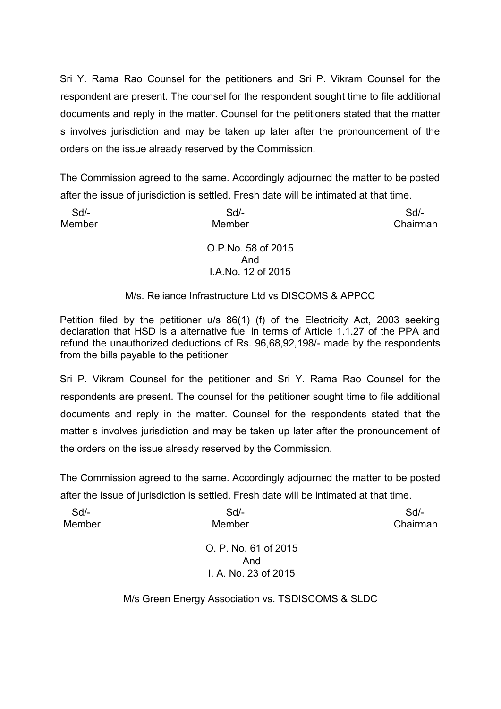Sri Y. Rama Rao Counsel for the petitioners and Sri P. Vikram Counsel for the respondent are present. The counsel for the respondent sought time to file additional documents and reply in the matter. Counsel for the petitioners stated that the matter s involves jurisdiction and may be taken up later after the pronouncement of the orders on the issue already reserved by the Commission.

The Commission agreed to the same. Accordingly adjourned the matter to be posted after the issue of jurisdiction is settled. Fresh date will be intimated at that time.

| $Sd$ - | $Sd$ -                                              | $Sd$ -   |
|--------|-----------------------------------------------------|----------|
| Member | Member                                              | Chairman |
|        | O.P.No. 58 of 2015<br>And<br>I.A.No. 12 of 2015     |          |
|        |                                                     |          |
|        | M/s. Reliance Infrastructure Ltd vs DISCOMS & APPCC |          |

Petition filed by the petitioner u/s 86(1) (f) of the Electricity Act, 2003 seeking declaration that HSD is a alternative fuel in terms of Article 1.1.27 of the PPA and refund the unauthorized deductions of Rs. 96,68,92,198/- made by the respondents from the bills payable to the petitioner

Sri P. Vikram Counsel for the petitioner and Sri Y. Rama Rao Counsel for the respondents are present. The counsel for the petitioner sought time to file additional documents and reply in the matter. Counsel for the respondents stated that the matter s involves jurisdiction and may be taken up later after the pronouncement of the orders on the issue already reserved by the Commission.

The Commission agreed to the same. Accordingly adjourned the matter to be posted after the issue of jurisdiction is settled. Fresh date will be intimated at that time.

| $Sd$ - | $Sd$ -                      | $Sd$ -   |
|--------|-----------------------------|----------|
| Member | Member                      | Chairman |
|        | O. P. No. 61 of 2015<br>And |          |
|        | I. A. No. 23 of 2015        |          |
|        |                             |          |

M/s Green Energy Association vs. TSDISCOMS & SLDC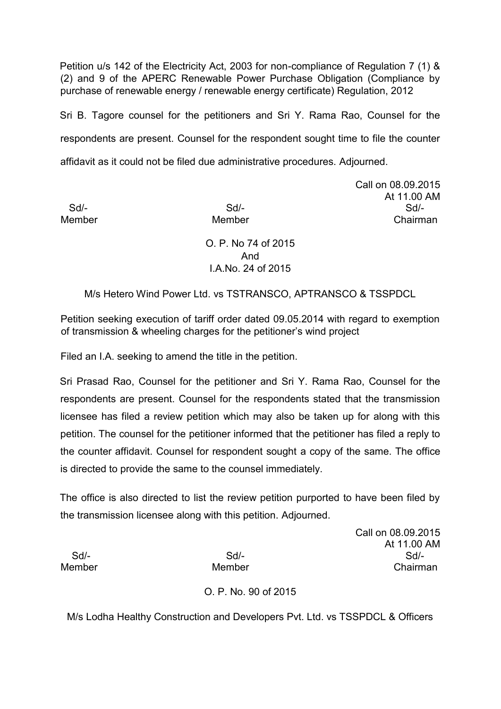Petition u/s 142 of the Electricity Act, 2003 for non-compliance of Regulation 7 (1) & (2) and 9 of the APERC Renewable Power Purchase Obligation (Compliance by purchase of renewable energy / renewable energy certificate) Regulation, 2012

Sri B. Tagore counsel for the petitioners and Sri Y. Rama Rao, Counsel for the respondents are present. Counsel for the respondent sought time to file the counter affidavit as it could not be filed due administrative procedures. Adjourned.

Call on 08.09.2015 At 11.00 AM Sd/- Sd/- Sd/- Member Member **Member** Chairman

> O. P. No 74 of 2015 And I.A.No. 24 of 2015

M/s Hetero Wind Power Ltd. vs TSTRANSCO, APTRANSCO & TSSPDCL

Petition seeking execution of tariff order dated 09.05.2014 with regard to exemption of transmission & wheeling charges for the petitioner's wind project

Filed an I.A. seeking to amend the title in the petition.

Sri Prasad Rao, Counsel for the petitioner and Sri Y. Rama Rao, Counsel for the respondents are present. Counsel for the respondents stated that the transmission licensee has filed a review petition which may also be taken up for along with this petition. The counsel for the petitioner informed that the petitioner has filed a reply to the counter affidavit. Counsel for respondent sought a copy of the same. The office is directed to provide the same to the counsel immediately.

The office is also directed to list the review petition purported to have been filed by the transmission licensee along with this petition. Adjourned.

Call on 08.09.2015 At 11.00 AM Sd/- Sd/- Sd/- Member Member **Member** Chairman

O. P. No. 90 of 2015

M/s Lodha Healthy Construction and Developers Pvt. Ltd. vs TSSPDCL & Officers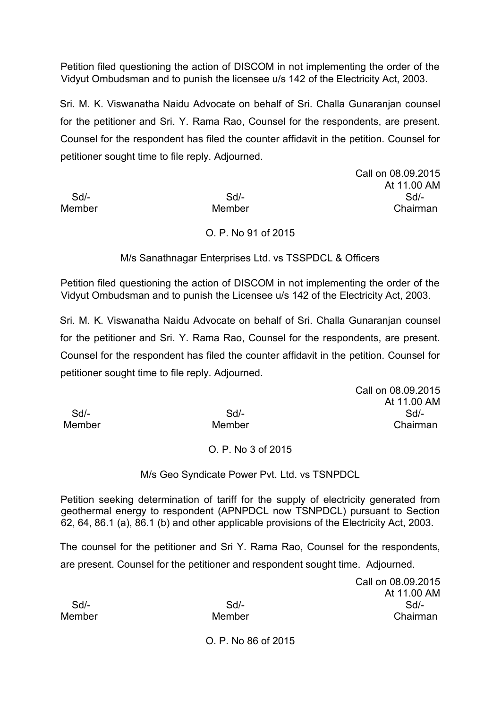Petition filed questioning the action of DISCOM in not implementing the order of the Vidyut Ombudsman and to punish the licensee u/s 142 of the Electricity Act, 2003.

Sri. M. K. Viswanatha Naidu Advocate on behalf of Sri. Challa Gunaranjan counsel for the petitioner and Sri. Y. Rama Rao, Counsel for the respondents, are present. Counsel for the respondent has filed the counter affidavit in the petition. Counsel for petitioner sought time to file reply. Adjourned.

Call on 08.09.2015 At 11.00 AM Sd/- Sd/- Sd/- Member Member **Member** Chairman

# O. P. No 91 of 2015

M/s Sanathnagar Enterprises Ltd. vs TSSPDCL & Officers

Petition filed questioning the action of DISCOM in not implementing the order of the Vidyut Ombudsman and to punish the Licensee u/s 142 of the Electricity Act, 2003.

Sri. M. K. Viswanatha Naidu Advocate on behalf of Sri. Challa Gunaranjan counsel for the petitioner and Sri. Y. Rama Rao, Counsel for the respondents, are present. Counsel for the respondent has filed the counter affidavit in the petition. Counsel for petitioner sought time to file reply. Adjourned.

Call on 08.09.2015 At 11.00 AM Sd/- Sd/- Sd/- Member **Member** Member **Chairman** 

# O. P. No 3 of 2015

# M/s Geo Syndicate Power Pvt. Ltd. vs TSNPDCL

Petition seeking determination of tariff for the supply of electricity generated from geothermal energy to respondent (APNPDCL now TSNPDCL) pursuant to Section 62, 64, 86.1 (a), 86.1 (b) and other applicable provisions of the Electricity Act, 2003.

The counsel for the petitioner and Sri Y. Rama Rao, Counsel for the respondents, are present. Counsel for the petitioner and respondent sought time. Adjourned.

Call on 08.09.2015 At 11.00 AM Sd/- Sd/- Sd/- Member Member **Member** Chairman

O. P. No 86 of 2015